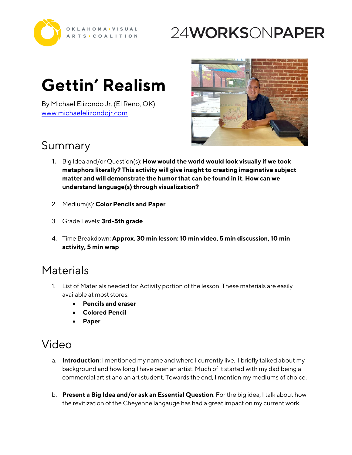

## 24WORKSONPAPER

# **Gettin' Realism**

By Michael Elizondo Jr. (El Reno, OK) <www.michaelelizondojr.com>



#### Summary

- **1.** Big Idea and/or Question(s): **How would the world would look visually if we took metaphors literally? This activity will give insight to creating imaginative subject matter and will demonstrate the humor that can be found in it. How can we understand language(s) through visualization?**
- 2. Medium(s): **Color Pencils and Paper**
- 3. Grade Levels: **3rd-5th grade**
- 4. Time Breakdown: **Approx. 30 min lesson: 10 min video, 5 min discussion, 10 min activity, 5 min wrap**

#### **Materials**

- 1. List of Materials needed for Activity portion of the lesson. These materials are easily available at most stores.
	- **Pencils and eraser**
	- **Colored Pencil**
	- **Paper**

### Video

- a. **Introduction**: I mentioned my name and where I currently live. I briefly talked about my background and how long I have been an artist. Much of it started with my dad being a commercial artist and an art student. Towards the end, I mention my mediums of choice.
- b. **Present a Big Idea and/or ask an Essential Question**: For the big idea, I talk about how the revitization of the Cheyenne langauge has had a great impact on my current work.